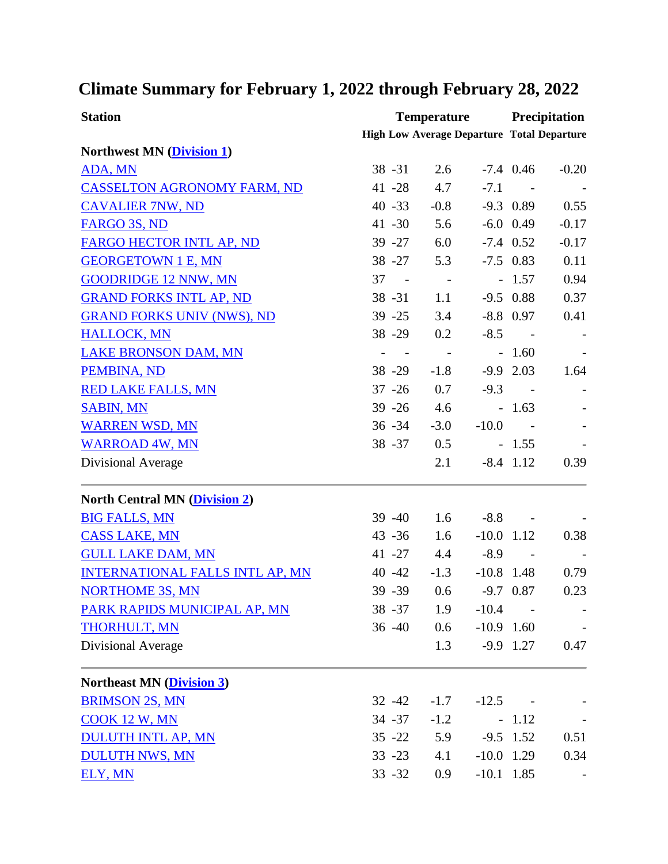## **Climate Summary for February 1, 2022 through February 28, 2022**

| <b>Station</b>                         | <b>Temperature</b>                                |            |              | <b>Precipitation</b>    |         |  |
|----------------------------------------|---------------------------------------------------|------------|--------------|-------------------------|---------|--|
|                                        | <b>High Low Average Departure Total Departure</b> |            |              |                         |         |  |
| Northwest MN (Division 1)              |                                                   |            |              |                         |         |  |
| ADA, MN                                | $38 - 31$                                         | 2.6        |              | $-7.4$ 0.46             | $-0.20$ |  |
| <b>CASSELTON AGRONOMY FARM, ND</b>     | 41 -28                                            | 4.7        | $-7.1$       | $\sim$                  |         |  |
| <b>CAVALIER 7NW, ND</b>                | $40 - 33$                                         | $-0.8$     |              | $-9.3$ 0.89             | 0.55    |  |
| FARGO 3S, ND                           | $41 - 30$                                         | 5.6        |              | $-6.0$ 0.49             | $-0.17$ |  |
| <b>FARGO HECTOR INTL AP, ND</b>        | $39 - 27$                                         | 6.0        |              | $-7.4$ 0.52             | $-0.17$ |  |
| <b>GEORGETOWN 1 E, MN</b>              | $38 - 27$                                         | 5.3        |              | $-7.5$ 0.83             | 0.11    |  |
| <b>GOODRIDGE 12 NNW, MN</b>            | 37<br>$\sim$ $-$                                  | $\sim$ $-$ |              | $-1.57$                 | 0.94    |  |
| <b>GRAND FORKS INTL AP, ND</b>         | $38 - 31$                                         | 1.1        |              | $-9.5$ 0.88             | 0.37    |  |
| <b>GRAND FORKS UNIV (NWS), ND</b>      | $39 - 25$                                         | 3.4        |              | $-8.8$ 0.97             | 0.41    |  |
| <b>HALLOCK, MN</b>                     | 38 - 29                                           | 0.2        | $-8.5$       | $\sim 100$              |         |  |
| <b>LAKE BRONSON DAM, MN</b>            |                                                   | $\sim$ $-$ |              | $-1.60$                 |         |  |
| PEMBINA, ND                            | 38 - 29                                           | $-1.8$     |              | $-9.9$ 2.03             | 1.64    |  |
| <b>RED LAKE FALLS, MN</b>              | $37 - 26$                                         | 0.7        | $-9.3$       | $\sim$ $-$              |         |  |
| <b>SABIN, MN</b>                       | $39 - 26$                                         | 4.6        |              | $-1.63$                 |         |  |
| <b>WARREN WSD, MN</b>                  | $36 - 34$                                         | $-3.0$     | $-10.0$      |                         |         |  |
| <b>WARROAD 4W, MN</b>                  | $38 - 37$                                         | 0.5        |              | $-1.55$                 |         |  |
| Divisional Average                     |                                                   | 2.1        |              | $-8.4$ 1.12             | 0.39    |  |
| <b>North Central MN (Division 2)</b>   |                                                   |            |              |                         |         |  |
| <b>BIG FALLS, MN</b>                   | $39 - 40$                                         | 1.6        | $-8.8$       | $\sim 100$ km s $^{-1}$ |         |  |
| <b>CASS LAKE, MN</b>                   | $43 - 36$                                         | 1.6        | $-10.0$ 1.12 |                         | 0.38    |  |
| <b>GULL LAKE DAM, MN</b>               | $41 - 27$                                         | 4.4        | $-8.9$       | $\sim$                  |         |  |
| <b>INTERNATIONAL FALLS INTL AP, MN</b> | $40 - 42$                                         | $-1.3$     | $-10.8$ 1.48 |                         | 0.79    |  |
| <b>NORTHOME 3S, MN</b>                 | 39 - 39                                           | 0.6        |              | $-9.7$ 0.87             | 0.23    |  |
| PARK RAPIDS MUNICIPAL AP, MN           | $38 - 37$                                         | 1.9        | $-10.4$      |                         |         |  |
| <b>THORHULT, MN</b>                    | $36 - 40$                                         | 0.6        | $-10.9$ 1.60 |                         |         |  |
| Divisional Average                     |                                                   | 1.3        |              | $-9.9$ 1.27             | 0.47    |  |
| <b>Northeast MN (Division 3)</b>       |                                                   |            |              |                         |         |  |
| <b>BRIMSON 2S, MN</b>                  | $32 - 42$                                         | $-1.7$     | $-12.5$      |                         |         |  |
| <b>COOK 12 W, MN</b>                   | $34 - 37$                                         | $-1.2$     |              | $-1.12$                 |         |  |
| <b>DULUTH INTL AP, MN</b>              | $35 - 22$                                         | 5.9        |              | $-9.5$ 1.52             | 0.51    |  |
| <b>DULUTH NWS, MN</b>                  | $33 - 23$                                         | 4.1        | $-10.0$ 1.29 |                         | 0.34    |  |
| ELY, MN                                | $33 - 32$                                         | 0.9        | $-10.1$ 1.85 |                         |         |  |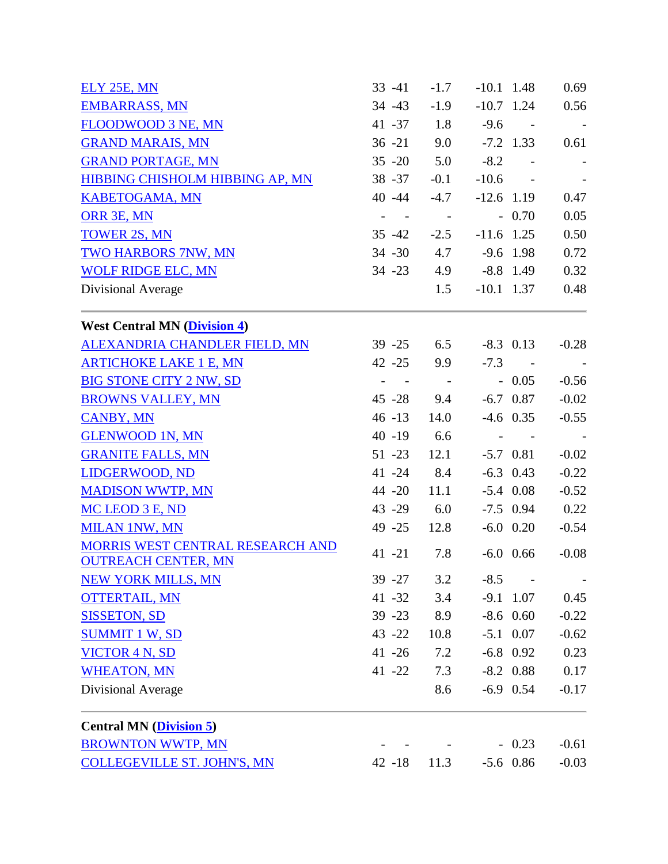| <b>ELY 25E, MN</b>                                             | $33 - 41$                    | $-1.7$          | $-10.1$ 1.48             |                      | 0.69       |
|----------------------------------------------------------------|------------------------------|-----------------|--------------------------|----------------------|------------|
| <b>EMBARRASS, MN</b>                                           | $34 - 43$                    | $-1.9$          | $-10.7$ 1.24             |                      | 0.56       |
| FLOODWOOD 3 NE, MN                                             | $41 - 37$                    | 1.8             | $-9.6$                   | $\sim 100$ m $^{-1}$ | $\sim$ $-$ |
| <b>GRAND MARAIS, MN</b>                                        | $36 - 21$                    | 9.0             |                          | $-7.2$ 1.33          | 0.61       |
| <b>GRAND PORTAGE, MN</b>                                       | $35 - 20$                    | 5.0             | $-8.2$                   | $\sim 100$           |            |
| <b>HIBBING CHISHOLM HIBBING AP, MN</b>                         | $38 - 37$                    | $-0.1$          | $-10.6 -$                |                      |            |
| <b>KABETOGAMA, MN</b>                                          | 40 - 44                      | $-4.7$          | $-12.6$ 1.19             |                      | 0.47       |
| ORR 3E, MN                                                     |                              | $\sim$ $-$      |                          | $-0.70$              | 0.05       |
| <b>TOWER 2S, MN</b>                                            | $35 - 42$                    | $-2.5$          |                          | $-11.6$ 1.25         | 0.50       |
| <b>TWO HARBORS 7NW, MN</b>                                     | $34 - 30$                    | 4.7             |                          | $-9.6$ 1.98          | 0.72       |
| <b>WOLF RIDGE ELC, MN</b>                                      | $34 - 23$                    |                 | 4.9 -8.8 1.49            |                      | 0.32       |
| Divisional Average                                             |                              | 1.5             | $-10.1$ 1.37             |                      | 0.48       |
| <b>West Central MN (Division 4)</b>                            |                              |                 |                          |                      |            |
| ALEXANDRIA CHANDLER FIELD, MN                                  | $39 - 25$                    | 6.5             |                          | $-8.3$ 0.13          | $-0.28$    |
| <b>ARTICHOKE LAKE 1 E, MN</b>                                  | $42 - 25$                    | 9.9             |                          | $-7.3 -$             |            |
| <b>BIG STONE CITY 2 NW, SD</b>                                 | $\blacksquare$<br>$\sim 100$ | $\sim$ $  \sim$ |                          | $-0.05$              | $-0.56$    |
| <b>BROWNS VALLEY, MN</b>                                       | $45 - 28$                    | 9.4             |                          | $-6.7$ 0.87          | $-0.02$    |
| <b>CANBY, MN</b>                                               | $46 - 13$                    | 14.0            |                          | $-4.6$ 0.35          | $-0.55$    |
| <b>GLENWOOD 1N, MN</b>                                         | $40 - 19$                    | 6.6             | $\overline{\phantom{a}}$ |                      |            |
| <b>GRANITE FALLS, MN</b>                                       | $51 - 23$                    | 12.1            |                          | $-5.7$ 0.81          | $-0.02$    |
| LIDGERWOOD, ND                                                 | $41 - 24$                    | 8.4             |                          | $-6.3$ 0.43          | $-0.22$    |
| <b>MADISON WWTP, MN</b>                                        | 44 -20                       | 11.1            |                          | $-5.4$ 0.08          | $-0.52$    |
| MC LEOD 3 E, ND                                                | $43 - 29$                    | 6.0             |                          | $-7.5$ 0.94          | 0.22       |
| <b>MILAN 1NW, MN</b>                                           | 49 - 25                      | 12.8            |                          | $-6.0$ 0.20          | $-0.54$    |
| MORRIS WEST CENTRAL RESEARCH AND<br><b>OUTREACH CENTER, MN</b> | $41 - 21$                    | 7.8             |                          | $-6.0$ 0.66          | $-0.08$    |
| <b>NEW YORK MILLS, MN</b>                                      | $39 - 27$                    | 3.2             | $-8.5$                   | $\sim$ $-$           |            |
| <b>OTTERTAIL, MN</b>                                           | $41 - 32$                    | 3.4             |                          | $-9.1$ 1.07          | 0.45       |
| <b>SISSETON, SD</b>                                            | $39 - 23$                    | 8.9             |                          | $-8.6$ 0.60          | $-0.22$    |
| <b>SUMMIT 1 W, SD</b>                                          | $43 - 22$                    | 10.8            |                          | $-5.1$ 0.07          | $-0.62$    |
| VICTOR 4 N, SD                                                 | $41 - 26$                    | 7.2             |                          | $-6.8$ 0.92          | 0.23       |
| <b>WHEATON, MN</b>                                             | $41 - 22$                    | 7.3             |                          | $-8.2$ 0.88          | 0.17       |
| Divisional Average                                             |                              | 8.6             |                          | $-6.9$ 0.54          | $-0.17$    |
| <b>Central MN</b> ( <i>Division 5</i> )                        |                              |                 |                          |                      |            |
| <b>BROWNTON WWTP, MN</b>                                       |                              |                 |                          | $-0.23$              | $-0.61$    |
| <b>COLLEGEVILLE ST. JOHN'S, MN</b>                             | $42 - 18$                    | 11.3            |                          | $-5.6$ 0.86          | $-0.03$    |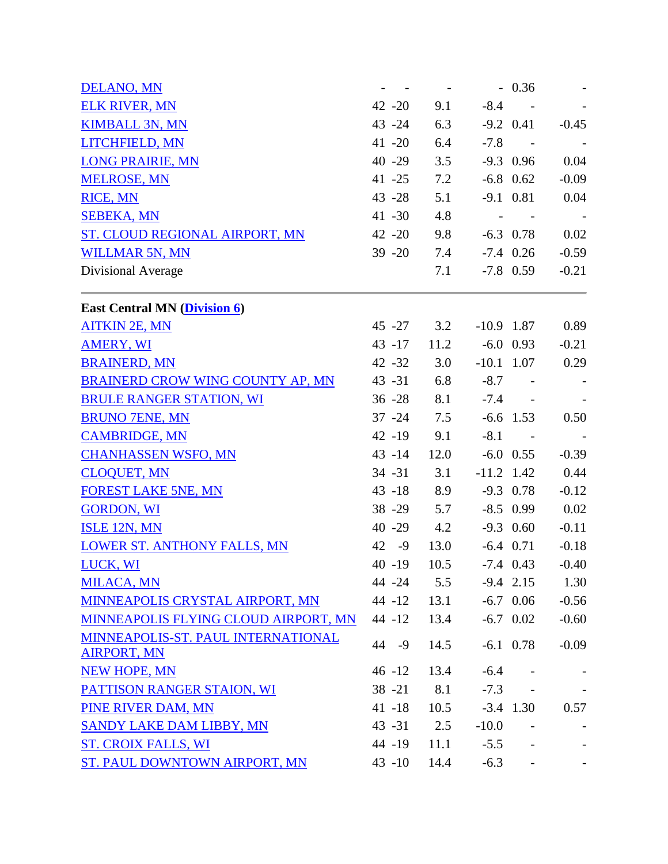| <b>DELANO, MN</b>                                        |            |      |                            | $-0.36$                  |         |
|----------------------------------------------------------|------------|------|----------------------------|--------------------------|---------|
| <b>ELK RIVER, MN</b>                                     | $42 - 20$  | 9.1  |                            | $-8.4 -$                 |         |
| <b>KIMBALL 3N, MN</b>                                    | $43 - 24$  | 6.3  |                            | $-9.2$ 0.41              | $-0.45$ |
| LITCHFIELD, MN                                           | $41 - 20$  | 6.4  |                            | $-7.8 -$                 |         |
| <b>LONG PRAIRIE, MN</b>                                  | $40 - 29$  | 3.5  |                            | $-9.3$ 0.96              | 0.04    |
| <b>MELROSE, MN</b>                                       | $41 - 25$  | 7.2  |                            | $-6.8$ 0.62              | $-0.09$ |
| <b>RICE, MN</b>                                          | $43 - 28$  | 5.1  |                            | $-9.1$ 0.81              | 0.04    |
| <b>SEBEKA, MN</b>                                        | $41 - 30$  | 4.8  |                            | $\sim 100$ km s $^{-1}$  |         |
| ST. CLOUD REGIONAL AIRPORT, MN                           | $42 - 20$  | 9.8  |                            | $-6.3$ 0.78              | 0.02    |
| <b>WILLMAR 5N, MN</b>                                    | $39 - 20$  | 7.4  |                            | $-7.4$ 0.26              | $-0.59$ |
| Divisional Average                                       |            | 7.1  |                            | $-7.8$ 0.59              | $-0.21$ |
| <b>East Central MN (Division 6)</b>                      |            |      |                            |                          |         |
| <b>AITKIN 2E, MN</b>                                     |            |      | 45 -27 3.2 -10.9 1.87 0.89 |                          |         |
| <b>AMERY, WI</b>                                         | $43 - 17$  |      | $11.2$ $-6.0$ 0.93         |                          | $-0.21$ |
| <b>BRAINERD, MN</b>                                      | $42 - 32$  | 3.0  | $-10.1$ 1.07               |                          | 0.29    |
| BRAINERD CROW WING COUNTY AP, MN                         | $43 - 31$  | 6.8  |                            | $-8.7 -$                 |         |
| <b>BRULE RANGER STATION, WI</b>                          | $36 - 28$  | 8.1  |                            | $-7.4 -$                 |         |
| <b>BRUNO 7ENE, MN</b>                                    | $37 - 24$  | 7.5  |                            | $-6.6$ 1.53              | 0.50    |
| <b>CAMBRIDGE, MN</b>                                     | $42 - 19$  | 9.1  | $-8.1$                     | $\sim 100$ km s $^{-1}$  |         |
| <b>CHANHASSEN WSFO, MN</b>                               | $43 - 14$  | 12.0 |                            | $-6.0$ 0.55              | $-0.39$ |
| <b>CLOQUET, MN</b>                                       | $34 - 31$  | 3.1  | $-11.2$ 1.42               |                          | 0.44    |
| <b>FOREST LAKE 5NE, MN</b>                               | $43 - 18$  | 8.9  |                            | $-9.3$ 0.78              | $-0.12$ |
| <b>GORDON, WI</b>                                        | $38 - 29$  | 5.7  |                            | $-8.5$ 0.99              | 0.02    |
| ISLE 12N, MN                                             | $40 - 29$  | 4.2  |                            | $-9.3$ 0.60              | $-0.11$ |
| <b>LOWER ST. ANTHONY FALLS, MN</b>                       | 42 - 9     | 13.0 |                            | $-6.4$ 0.71              | $-0.18$ |
| LUCK, WI                                                 | $40 - 19$  | 10.5 |                            | $-7.4$ 0.43              | $-0.40$ |
| <b>MILACA, MN</b>                                        | 44 -24     | 5.5  |                            | $-9.4$ 2.15              | 1.30    |
| MINNEAPOLIS CRYSTAL AIRPORT, MN                          | $44 - 12$  | 13.1 |                            | $-6.7$ 0.06              | $-0.56$ |
| MINNEAPOLIS FLYING CLOUD AIRPORT, MN                     | $44 - 12$  | 13.4 |                            | $-6.7$ 0.02              | $-0.60$ |
| MINNEAPOLIS-ST. PAUL INTERNATIONAL<br><b>AIRPORT, MN</b> | 44<br>$-9$ | 14.5 |                            | $-6.1$ 0.78              | $-0.09$ |
| <b>NEW HOPE, MN</b>                                      | $46 - 12$  | 13.4 | $-6.4$                     |                          |         |
| PATTISON RANGER STAION, WI                               | $38 - 21$  | 8.1  | $-7.3$                     |                          |         |
| PINE RIVER DAM, MN                                       | $41 - 18$  | 10.5 |                            | $-3.4$ 1.30              | 0.57    |
| <b>SANDY LAKE DAM LIBBY, MN</b>                          | $43 - 31$  | 2.5  | $-10.0$                    |                          |         |
| <b>ST. CROIX FALLS, WI</b>                               | 44 -19     | 11.1 | $-5.5$                     | $\overline{\phantom{a}}$ |         |
| ST. PAUL DOWNTOWN AIRPORT, MN                            | $43 - 10$  | 14.4 | $-6.3$                     |                          |         |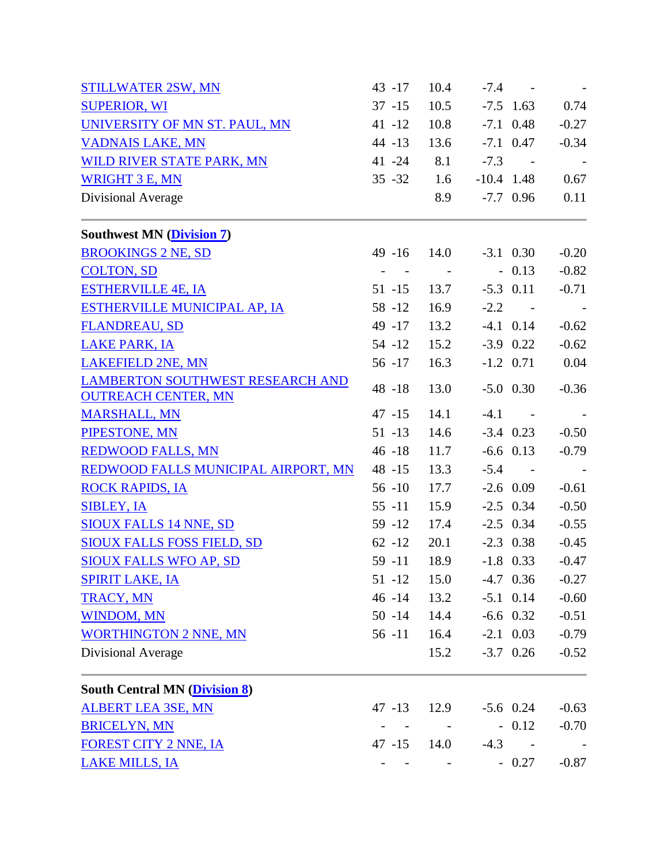| <b>STILLWATER 2SW, MN</b>                                             | $43 - 17$                                                                                                                                                                                                                                                                                                                                       | 10.4                    |        | $-7.4 -$                |         |
|-----------------------------------------------------------------------|-------------------------------------------------------------------------------------------------------------------------------------------------------------------------------------------------------------------------------------------------------------------------------------------------------------------------------------------------|-------------------------|--------|-------------------------|---------|
| <b>SUPERIOR, WI</b>                                                   | $37 - 15$                                                                                                                                                                                                                                                                                                                                       | 10.5                    |        | $-7.5$ 1.63             | 0.74    |
| UNIVERSITY OF MN ST. PAUL, MN                                         | $41 - 12$                                                                                                                                                                                                                                                                                                                                       | 10.8                    |        | $-7.1$ 0.48             | $-0.27$ |
| <b>VADNAIS LAKE, MN</b>                                               | $44 - 13$                                                                                                                                                                                                                                                                                                                                       | 13.6                    |        | $-7.1$ 0.47             | $-0.34$ |
| WILD RIVER STATE PARK, MN                                             | $41 - 24$                                                                                                                                                                                                                                                                                                                                       | 8.1                     | $-7.3$ | $\sim 100$ km s $^{-1}$ | $\sim$  |
| <b>WRIGHT 3 E, MN</b>                                                 | $35 - 32$                                                                                                                                                                                                                                                                                                                                       | 1.6                     |        | $-10.4$ 1.48            | 0.67    |
| Divisional Average                                                    |                                                                                                                                                                                                                                                                                                                                                 | 8.9                     |        | $-7.7$ 0.96             | 0.11    |
| <b>Southwest MN (Division 7)</b>                                      |                                                                                                                                                                                                                                                                                                                                                 |                         |        |                         |         |
| <b>BROOKINGS 2 NE, SD</b>                                             | $49 - 16$                                                                                                                                                                                                                                                                                                                                       | 14.0                    |        | $-3.1$ 0.30             | $-0.20$ |
| <b>COLTON, SD</b>                                                     | $\sim$<br>$\sim$ $-$                                                                                                                                                                                                                                                                                                                            | $\sim 100$ km s $^{-1}$ |        | $-0.13$                 | $-0.82$ |
| <b>ESTHERVILLE 4E, IA</b>                                             | $51 - 15$                                                                                                                                                                                                                                                                                                                                       | 13.7                    |        | $-5.3$ 0.11             | $-0.71$ |
| <b>ESTHERVILLE MUNICIPAL AP, IA</b>                                   | 58 - 12                                                                                                                                                                                                                                                                                                                                         | 16.9                    |        | $-2.2 - 1$              |         |
| <b>FLANDREAU, SD</b>                                                  | 49 - 17                                                                                                                                                                                                                                                                                                                                         | 13.2                    |        | $-4.1$ 0.14             | $-0.62$ |
| <b>LAKE PARK, IA</b>                                                  | $54 - 12$                                                                                                                                                                                                                                                                                                                                       | 15.2                    |        | $-3.9$ 0.22             | $-0.62$ |
| <b>LAKEFIELD 2NE, MN</b>                                              | $56 - 17$                                                                                                                                                                                                                                                                                                                                       | 16.3                    |        | $-1.2$ 0.71             | 0.04    |
| <b>LAMBERTON SOUTHWEST RESEARCH AND</b><br><b>OUTREACH CENTER, MN</b> | 48 -18                                                                                                                                                                                                                                                                                                                                          | 13.0                    |        | $-5.0$ 0.30             | $-0.36$ |
| <b>MARSHALL, MN</b>                                                   | $47 - 15$                                                                                                                                                                                                                                                                                                                                       | 14.1                    | $-4.1$ | $\sim$ $\sim$           |         |
| PIPESTONE, MN                                                         | $51 - 13$                                                                                                                                                                                                                                                                                                                                       | 14.6                    |        | $-3.4$ 0.23             | $-0.50$ |
| <b>REDWOOD FALLS, MN</b>                                              | $46 - 18$                                                                                                                                                                                                                                                                                                                                       | 11.7                    |        | $-6.6$ 0.13             | $-0.79$ |
| REDWOOD FALLS MUNICIPAL AIRPORT, MN                                   | $48 - 15$                                                                                                                                                                                                                                                                                                                                       | 13.3                    | $-5.4$ | $\sim 100$ km s $^{-1}$ |         |
| <b>ROCK RAPIDS, IA</b>                                                | $56 - 10$                                                                                                                                                                                                                                                                                                                                       | 17.7                    |        | $-2.6$ 0.09             | $-0.61$ |
| <b>SIBLEY, IA</b>                                                     | $55 - 11$                                                                                                                                                                                                                                                                                                                                       | 15.9                    |        | $-2.5$ 0.34             | $-0.50$ |
| SIOUX FALLS 14 NNE, SD                                                | $59 - 12$                                                                                                                                                                                                                                                                                                                                       | 17.4                    |        | $-2.5$ 0.34             | $-0.55$ |
| <b>SIOUX FALLS FOSS FIELD, SD</b>                                     | $62 - 12$                                                                                                                                                                                                                                                                                                                                       | 20.1                    |        | $-2.3$ 0.38             | $-0.45$ |
| <b>SIOUX FALLS WFO AP, SD</b>                                         | $59 - 11$                                                                                                                                                                                                                                                                                                                                       | 18.9                    |        | $-1.8$ 0.33             | $-0.47$ |
| <b>SPIRIT LAKE, IA</b>                                                | $51 - 12$                                                                                                                                                                                                                                                                                                                                       | 15.0                    |        | $-4.7$ 0.36             | $-0.27$ |
| <b>TRACY, MN</b>                                                      | $46 - 14$                                                                                                                                                                                                                                                                                                                                       | 13.2                    |        | $-5.1$ 0.14             | $-0.60$ |
| <b>WINDOM, MN</b>                                                     | 50 -14 14.4                                                                                                                                                                                                                                                                                                                                     |                         |        | $-6.6$ 0.32             | $-0.51$ |
| <b>WORTHINGTON 2 NNE, MN</b>                                          | $56 - 11$                                                                                                                                                                                                                                                                                                                                       | 16.4                    |        | $-2.1$ 0.03             | $-0.79$ |
| Divisional Average                                                    |                                                                                                                                                                                                                                                                                                                                                 | 15.2                    |        | $-3.7$ 0.26             | $-0.52$ |
| <b>South Central MN (Division 8)</b>                                  |                                                                                                                                                                                                                                                                                                                                                 |                         |        |                         |         |
| <b>ALBERT LEA 3SE, MN</b>                                             | $47 - 13$                                                                                                                                                                                                                                                                                                                                       | 12.9                    |        | $-5.6$ 0.24             | $-0.63$ |
| <b>BRICELYN, MN</b>                                                   | $\omega_{\rm{max}}=0.5$                                                                                                                                                                                                                                                                                                                         | $\sim 100$ km s $^{-1}$ |        | $-0.12$                 | $-0.70$ |
| <b>FOREST CITY 2 NNE, IA</b>                                          | 47 -15 14.0                                                                                                                                                                                                                                                                                                                                     |                         |        | $-4.3 -$                |         |
| <b>LAKE MILLS, IA</b>                                                 | $\frac{1}{2} \left( \frac{1}{2} \left( \frac{1}{2} \left( \frac{1}{2} \left( \frac{1}{2} \left( \frac{1}{2} \left( \frac{1}{2} \left( \frac{1}{2} \left( \frac{1}{2} \right) \right) \right) \right) - \frac{1}{2} \left( \frac{1}{2} \left( \frac{1}{2} \left( \frac{1}{2} \left( \frac{1}{2} \right) \right) \right) \right) \right) \right)$ |                         |        | $-0.27$                 | $-0.87$ |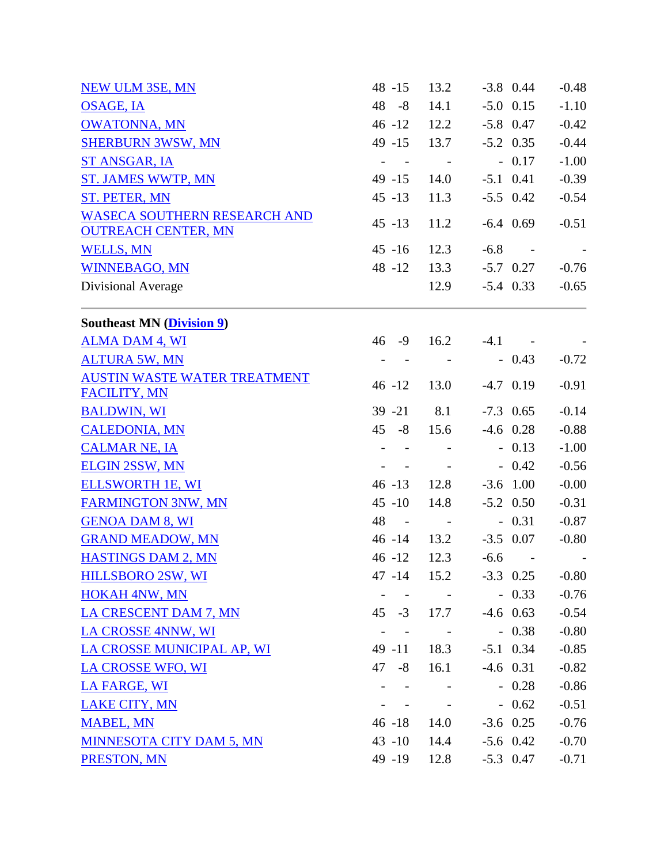| 48 -15                     | 13.2                                            |                             |                                                                   | $-0.48$                                                                                                                                                                                                                                                                                                                                                                                                                                   |
|----------------------------|-------------------------------------------------|-----------------------------|-------------------------------------------------------------------|-------------------------------------------------------------------------------------------------------------------------------------------------------------------------------------------------------------------------------------------------------------------------------------------------------------------------------------------------------------------------------------------------------------------------------------------|
| 48 - 8                     | 14.1                                            |                             |                                                                   | $-1.10$                                                                                                                                                                                                                                                                                                                                                                                                                                   |
| $46 - 12$                  |                                                 |                             |                                                                   | $-0.42$                                                                                                                                                                                                                                                                                                                                                                                                                                   |
| $49 - 15$                  | 13.7                                            |                             |                                                                   | $-0.44$                                                                                                                                                                                                                                                                                                                                                                                                                                   |
| $\mathbf{r}$<br>$\sim 100$ | $\sim$ $-$                                      |                             |                                                                   | $-1.00$                                                                                                                                                                                                                                                                                                                                                                                                                                   |
| $49 - 15$                  |                                                 |                             |                                                                   | $-0.39$                                                                                                                                                                                                                                                                                                                                                                                                                                   |
| $45 - 13$                  | 11.3                                            |                             |                                                                   | $-0.54$                                                                                                                                                                                                                                                                                                                                                                                                                                   |
| $45 - 13$                  | 11.2                                            |                             |                                                                   | $-0.51$                                                                                                                                                                                                                                                                                                                                                                                                                                   |
| $45 - 16$                  | 12.3                                            | $-6.8$                      |                                                                   |                                                                                                                                                                                                                                                                                                                                                                                                                                           |
| $48 - 12$                  |                                                 |                             |                                                                   | $-0.76$                                                                                                                                                                                                                                                                                                                                                                                                                                   |
|                            |                                                 |                             |                                                                   | $-0.65$                                                                                                                                                                                                                                                                                                                                                                                                                                   |
|                            |                                                 |                             |                                                                   |                                                                                                                                                                                                                                                                                                                                                                                                                                           |
| 46<br>-9                   | 16.2                                            | $-4.1$                      |                                                                   |                                                                                                                                                                                                                                                                                                                                                                                                                                           |
|                            |                                                 |                             |                                                                   | $-0.72$                                                                                                                                                                                                                                                                                                                                                                                                                                   |
| $46 - 12$                  | 13.0                                            |                             |                                                                   | $-0.91$                                                                                                                                                                                                                                                                                                                                                                                                                                   |
|                            |                                                 |                             |                                                                   | $-0.14$                                                                                                                                                                                                                                                                                                                                                                                                                                   |
|                            |                                                 |                             |                                                                   | $-0.88$                                                                                                                                                                                                                                                                                                                                                                                                                                   |
|                            |                                                 |                             |                                                                   | $-1.00$                                                                                                                                                                                                                                                                                                                                                                                                                                   |
|                            |                                                 |                             |                                                                   | $-0.56$                                                                                                                                                                                                                                                                                                                                                                                                                                   |
|                            |                                                 |                             |                                                                   | $-0.00$                                                                                                                                                                                                                                                                                                                                                                                                                                   |
|                            |                                                 |                             |                                                                   | $-0.31$                                                                                                                                                                                                                                                                                                                                                                                                                                   |
| 48<br>$\sim$ $-$           |                                                 |                             |                                                                   | $-0.87$                                                                                                                                                                                                                                                                                                                                                                                                                                   |
| $46 - 14$                  |                                                 |                             |                                                                   | $-0.80$                                                                                                                                                                                                                                                                                                                                                                                                                                   |
| $46 - 12$                  | 12.3                                            | $-6.6$                      | $\sim$ $-$                                                        |                                                                                                                                                                                                                                                                                                                                                                                                                                           |
| 47 -14                     | 15.2                                            |                             |                                                                   | $-0.80$                                                                                                                                                                                                                                                                                                                                                                                                                                   |
|                            |                                                 |                             |                                                                   | $-0.76$                                                                                                                                                                                                                                                                                                                                                                                                                                   |
| $45 - 3$                   | 17.7                                            |                             |                                                                   | $-0.54$                                                                                                                                                                                                                                                                                                                                                                                                                                   |
| $\overline{\phantom{a}}$   | $\sim$ $-$                                      |                             |                                                                   | $-0.80$                                                                                                                                                                                                                                                                                                                                                                                                                                   |
| $49 - 11$                  | 18.3                                            |                             |                                                                   | $-0.85$                                                                                                                                                                                                                                                                                                                                                                                                                                   |
| $47 - 8$                   | 16.1                                            |                             |                                                                   | $-0.82$                                                                                                                                                                                                                                                                                                                                                                                                                                   |
| $\overline{a}$             |                                                 |                             |                                                                   | $-0.86$                                                                                                                                                                                                                                                                                                                                                                                                                                   |
|                            |                                                 |                             |                                                                   | $-0.51$                                                                                                                                                                                                                                                                                                                                                                                                                                   |
| $46 - 18$                  | 14.0                                            |                             |                                                                   | $-0.76$                                                                                                                                                                                                                                                                                                                                                                                                                                   |
| $43 - 10$                  | 14.4                                            |                             |                                                                   | $-0.70$                                                                                                                                                                                                                                                                                                                                                                                                                                   |
| 49 -19                     |                                                 |                             |                                                                   | $-0.71$                                                                                                                                                                                                                                                                                                                                                                                                                                   |
|                            | $39 - 21$<br>$45 - 8$<br>$46 - 13$<br>$45 - 10$ | 8.1<br>15.6<br>12.8<br>14.8 | 12.2<br>14.0<br>13.3<br>12.9<br><b>Contractor</b><br>13.2<br>12.8 | $-3.8$ 0.44<br>$-5.0$ 0.15<br>$-5.8$ 0.47<br>$-5.2$ 0.35<br>$-0.17$<br>$-5.1$ 0.41<br>$-5.5$ 0.42<br>$-6.4$ 0.69<br>$-5.7$ 0.27<br>$-5.4$ 0.33<br>$-0.43$<br>$-4.7$ 0.19<br>$-7.3$ 0.65<br>$-4.6$ 0.28<br>$-0.13$<br>$-0.42$<br>$-3.6$ 1.00<br>$-5.2$ 0.50<br>$-0.31$<br>$-3.5$ 0.07<br>$-3.3$ 0.25<br>$-0.33$<br>$-4.6$ 0.63<br>$-0.38$<br>$-5.1$ 0.34<br>$-4.6$ 0.31<br>$-0.28$<br>$-0.62$<br>$-3.6$ 0.25<br>$-5.6$ 0.42<br>$-5.3$ 0.47 |